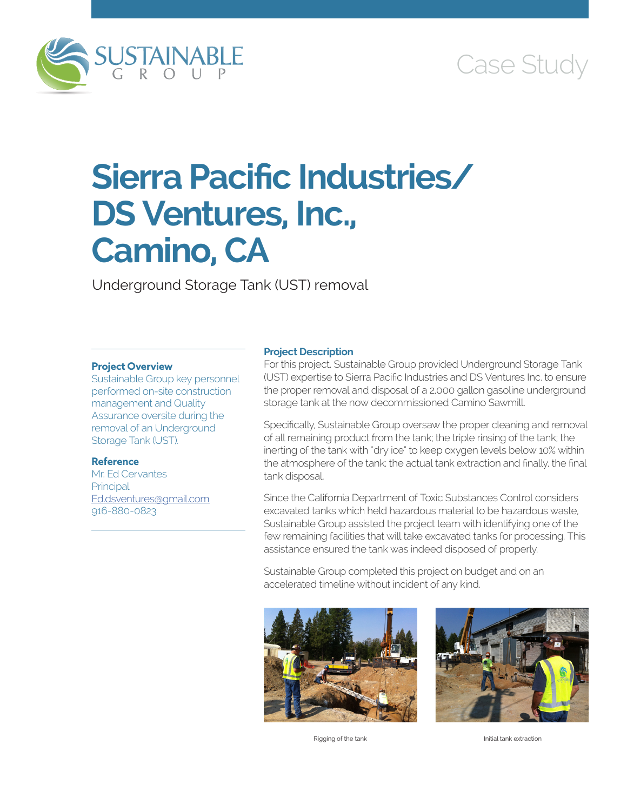

## Case Study

# **Sierra Pacific Industries/ DS Ventures, Inc., Camino, CA**

Underground Storage Tank (UST) removal

#### **Project Overview**

Sustainable Group key personnel performed on-site construction management and Quality Assurance oversite during the removal of an Underground Storage Tank (UST).

#### **Reference**

Mr. Ed Cervantes **Principal** [Ed.dsventures@gmail.com](mailto:Ed.dsventures@gmail.com) 916-880-0823

#### **Project Description**

For this project, Sustainable Group provided Underground Storage Tank (UST) expertise to Sierra Pacific Industries and DS Ventures Inc. to ensure the proper removal and disposal of a 2,000 gallon gasoline underground storage tank at the now decommissioned Camino Sawmill.

Specifically, Sustainable Group oversaw the proper cleaning and removal of all remaining product from the tank; the triple rinsing of the tank; the inerting of the tank with "dry ice" to keep oxygen levels below 10% within the atmosphere of the tank; the actual tank extraction and finally, the final tank disposal.

Since the California Department of Toxic Substances Control considers excavated tanks which held hazardous material to be hazardous waste, Sustainable Group assisted the project team with identifying one of the few remaining facilities that will take excavated tanks for processing. This assistance ensured the tank was indeed disposed of properly.

Sustainable Group completed this project on budget and on an accelerated timeline without incident of any kind.



Rigging of the tank Initial tank extraction